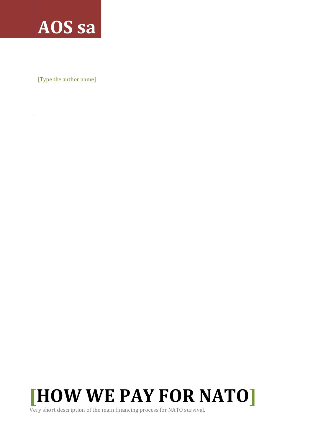# AOS sa

[Type the author name]



Very short description of the main financing process for NATO survival.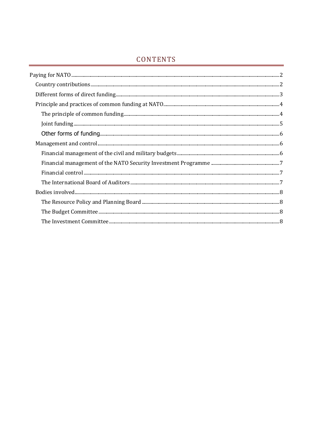# CONTENTS

| $Join finding. 55$ |  |
|--------------------|--|
|                    |  |
|                    |  |
|                    |  |
|                    |  |
|                    |  |
|                    |  |
|                    |  |
|                    |  |
|                    |  |
|                    |  |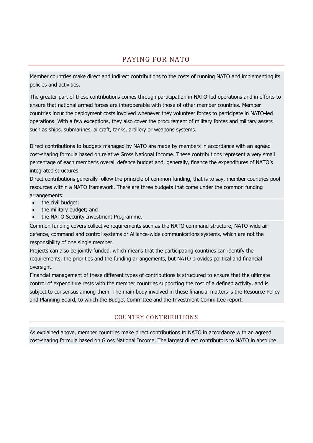# PAYING FOR NATO

<span id="page-2-0"></span>Member countries make direct and indirect contributions to the costs of running NATO and implementing its policies and activities.

The greater part of these contributions comes through participation in NATO-led operations and in efforts to ensure that national armed forces are interoperable with those of other member countries. Member countries incur the deployment costs involved whenever they volunteer forces to participate in NATO-led operations. With a few exceptions, they also cover the procurement of military forces and military assets such as ships, submarines, aircraft, tanks, artillery or weapons systems.

Direct contributions to budgets managed by NATO are made by members in accordance with an agreed cost-sharing formula based on relative Gross National Income. These contributions represent a very small percentage of each member's overall defence budget and, generally, finance the expenditures of NATO's integrated structures.

Direct contributions generally follow the principle of common funding, that is to say, member countries pool resources within a NATO framework. There are three budgets that come under the common funding arrangements:

- the civil budget;
- the military budget; and
- the NATO Security Investment Programme.

Common funding covers collective requirements such as the NATO command structure, NATO-wide air defence, command and control systems or Alliance-wide communications systems, which are not the responsibility of one single member.

Projects can also be jointly funded, which means that the participating countries can identify the requirements, the priorities and the funding arrangements, but NATO provides political and financial oversight.

Financial management of these different types of contributions is structured to ensure that the ultimate control of expenditure rests with the member countries supporting the cost of a defined activity, and is subject to consensus among them. The main body involved in these financial matters is the Resource Policy and Planning Board, to which the Budget Committee and the Investment Committee report.

# COUNTRY CONTRIBUTIONS

<span id="page-2-1"></span>As explained above, member countries make direct contributions to NATO in accordance with an agreed cost-sharing formula based on Gross National Income. The largest direct contributors to NATO in absolute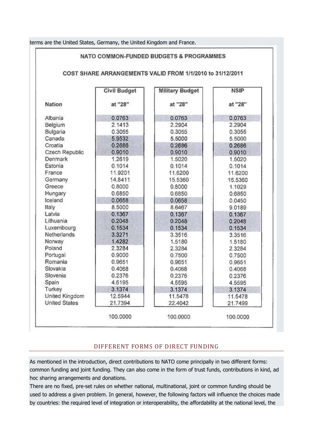|  |  |  | terms are the United States, Germany, the United Kingdom and France. |
|--|--|--|----------------------------------------------------------------------|

|                      |                     |                        | COST SHARE ARRANGEMENTS VALID FROM 1/1/2010 to 31/12/2011 |
|----------------------|---------------------|------------------------|-----------------------------------------------------------|
|                      | <b>Civil Budget</b> | <b>Military Budget</b> | <b>NSIP</b>                                               |
| <b>Nation</b>        | at "28"             | at "28"                | at "28"                                                   |
| Albania              | 0.0763              | 0.0763                 | 0.0763                                                    |
| Belgium              | 2.1413              | 2.2904                 | 2.2904                                                    |
| Bulgaria             | 0.3055              | 0.3055                 | 0.3055                                                    |
| Canada               | 5.9532              | 5.5000                 | 5.5000                                                    |
| Croatia              | 0.2686              | 0.2686                 | 0.2686                                                    |
| Czech Republic       | 0.9010              | 0.9010                 | 0.9010                                                    |
| Denmark              | 1.2619              | 1.5020                 | 1.5020                                                    |
| Estonia              | 0.1014              | 0.1014                 | 0.1014                                                    |
| France               | 11.9201             | 11.6200                | 11.6200                                                   |
| Germany              | 14.8411             | 15.5360                | 15.5360                                                   |
| Greece               | 0.8000              | 0.8000                 | 1.1029                                                    |
| Hungary              | 0.6850              | 0.6850                 | 0.6850                                                    |
| Iceland              | 0.0658              | 0.0658                 | 0.0450                                                    |
| Italy                | 8.5000              | 8.6467                 | 9.0189                                                    |
| Latvia               | 0.1367              | 0.1367                 | 0.1367                                                    |
| Lithuania            | 0.2048              | 0.2048                 | 0.2048                                                    |
| Luxembourg           | 0.1534              | 0.1534                 | 0.1534                                                    |
| Netherlands          | 3.3271              | 3.3516                 | 3.3516                                                    |
| Norway               | 1.4282              | 1.5180                 | 1.5180                                                    |
| Poland               | 2.3284              | 2.3284                 | 2.3284                                                    |
| Portugal             | 0.9000              | 0.7500                 | 0.7500                                                    |
| Romania              | 0.9651              | 0.9651                 | 0.9651                                                    |
| Slovakia             | 0.4068              | 0.4068                 | 0.4068                                                    |
| Slovenia             | 0.2376              | 0.2376                 | 0.2376                                                    |
| Spain                | 4.6195              | 4.5595                 | 4.5595                                                    |
| Turkey               | 3.1374              | 3.1374                 | 3.1374                                                    |
| United Kingdom       | 12.5944             | 11.5478                | 11.5478                                                   |
| <b>United States</b> | 21.7394             | 22.4042                | 21.7499                                                   |

#### DIFFERENT FORMS OF DIRECT FUNDING

<span id="page-3-0"></span>As mentioned in the introduction, direct contributions to NATO come principally in two different forms: common funding and joint funding. They can also come in the form of trust funds, contributions in kind, ad hoc sharing arrangements and donations.

There are no fixed, pre-set rules on whether national, multinational, joint or common funding should be used to address a given problem. In general, however, the following factors will influence the choices made by countries: the required level of integration or interoperability, the affordability at the national level, the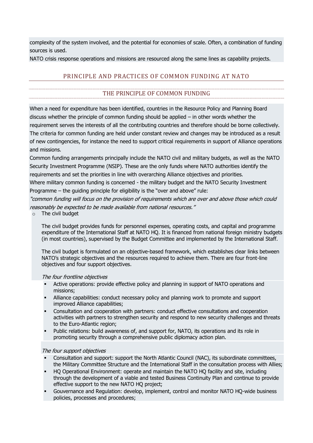complexity of the system involved, and the potential for economies of scale. Often, a combination of funding sources is used.

<span id="page-4-0"></span>NATO crisis response operations and missions are resourced along the same lines as capability projects.

# PRINCIPLE AND PRACTICES OF COMMON FUNDING AT NATO

# THE PRINCIPLE OF COMMON FUNDING

<span id="page-4-1"></span>When a need for expenditure has been identified, countries in the Resource Policy and Planning Board discuss whether the principle of common funding should be applied – in other words whether the requirement serves the interests of all the contributing countries and therefore should be borne collectively. The criteria for common funding are held under constant review and changes may be introduced as a result of new contingencies, for instance the need to support critical requirements in support of Alliance operations and missions.

Common funding arrangements principally include the NATO civil and military budgets, as well as the NATO Security Investment Programme (NSIP). These are the only funds where NATO authorities identify the requirements and set the priorities in line with overarching Alliance objectives and priorities.

Where military common funding is concerned - the military budget and the NATO Security Investment Programme – the guiding principle for eligibility is the "over and above" rule:

"common funding will focus on the provision of requirements which are over and above those which could reasonably be expected to be made available from national resources."

 $\circ$  The civil budget

The civil budget provides funds for personnel expenses, operating costs, and capital and programme expenditure of the International Staff at NATO HQ. It is financed from national foreign ministry budgets (in most countries), supervised by the Budget Committee and implemented by the International Staff.

The civil budget is formulated on an objective-based framework, which establishes clear links between NATO's strategic objectives and the resources required to achieve them. There are four front-line objectives and four support objectives.

#### The four frontline objectives

- Active operations: provide effective policy and planning in support of NATO operations and missions;
- Alliance capabilities: conduct necessary policy and planning work to promote and support improved Alliance capabilities;
- Consultation and cooperation with partners: conduct effective consultations and cooperation activities with partners to strengthen security and respond to new security challenges and threats to the Euro-Atlantic region;
- Public relations: build awareness of, and support for, NATO, its operations and its role in promoting security through a comprehensive public diplomacy action plan.

#### The four support objectives

- Consultation and support: support the North Atlantic Council (NAC), its subordinate committees, the Military Committee Structure and the International Staff in the consultation process with Allies;
- HQ Operational Environment: operate and maintain the NATO HQ facility and site, including through the development of a viable and tested Business Continuity Plan and continue to provide effective support to the new NATO HQ project;
- Gouvernance and Regulation: develop, implement, control and monitor NATO HQ-wide business policies, processes and procedures;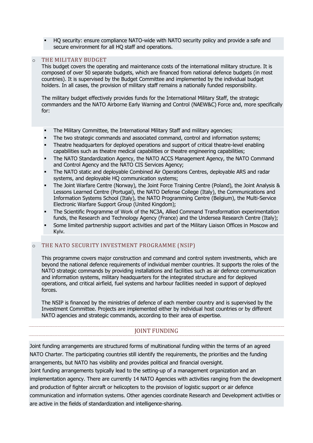HQ security: ensure compliance NATO-wide with NATO security policy and provide a safe and secure environment for all HQ staff and operations.

#### o THE MILITARY BUDGET

This budget covers the operating and maintenance costs of the international military structure. It is composed of over 50 separate budgets, which are financed from national defence budgets (in most countries). It is supervised by the Budget Committee and implemented by the individual budget holders. In all cases, the provision of military staff remains a nationally funded responsibility.

The military budget effectively provides funds for the International Military Staff, the strategic commanders and the NATO Airborne Early Warning and Control (NAEW&C) Force and, more specifically for:

- The Military Committee, the International Military Staff and military agencies;
- The two strategic commands and associated command, control and information systems;
- Theatre headquarters for deployed operations and support of critical theatre-level enabling capabilities such as theatre medical capabilities or theatre engineering capabilities;
- The NATO Standardization Agency, the NATO ACCS Management Agency, the NATO Command and Control Agency and the NATO CIS Services Agency;
- The NATO static and deployable Combined Air Operations Centres, deployable ARS and radar systems, and deployable HQ communication systems;
- The Joint Warfare Centre (Norway), the Joint Force Training Centre (Poland), the Joint Analysis & Lessons Learned Centre (Portugal), the NATO Defense College (Italy), the Communications and Information Systems School (Italy), the NATO Programming Centre (Belgium), the Multi-Service Electronic Warfare Support Group (United Kingdom);
- The Scientific Programme of Work of the NC3A, Allied Command Transformation experimentation funds, the Research and Technology Agency (France) and the Undersea Research Centre (Italy);
- Some limited partnership support activities and part of the Military Liaison Offices in Moscow and Kyiv.

#### o THE NATO SECURITY INVESTMENT PROGRAMME (NSIP)

This programme covers major construction and command and control system investments, which are beyond the national defence requirements of individual member countries. It supports the roles of the NATO strategic commands by providing installations and facilities such as air defence communication and information systems, military headquarters for the integrated structure and for deployed operations, and critical airfield, fuel systems and harbour facilities needed in support of deployed forces.

<span id="page-5-0"></span>The NSIP is financed by the ministries of defence of each member country and is supervised by the Investment Committee. Projects are implemented either by individual host countries or by different NATO agencies and strategic commands, according to their area of expertise.

#### JOINT FUNDING

Joint funding arrangements are structured forms of multinational funding within the terms of an agreed NATO Charter. The participating countries still identify the requirements, the priorities and the funding arrangements, but NATO has visibility and provides political and financial oversight.

Joint funding arrangements typically lead to the setting-up of a management organization and an implementation agency. There are currently 14 NATO Agencies with activities ranging from the development and production of fighter aircraft or helicopters to the provision of logistic support or air defence communication and information systems. Other agencies coordinate Research and Development activities or are active in the fields of standardization and intelligence-sharing.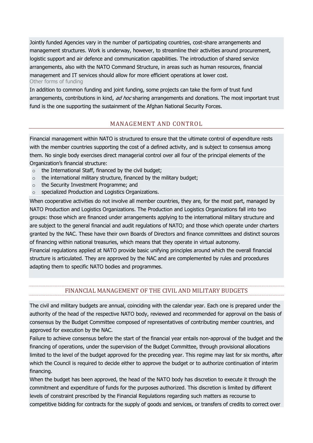Jointly funded Agencies vary in the number of participating countries, cost-share arrangements and management structures. Work is underway, however, to streamline their activities around procurement, logistic support and air defence and communication capabilities. The introduction of shared service arrangements, also with the NATO Command Structure, in areas such as human resources, financial management and IT services should allow for more efficient operations at lower cost. Other forms of funding

<span id="page-6-1"></span><span id="page-6-0"></span>In addition to common funding and joint funding, some projects can take the form of trust fund arrangements, contributions in kind, ad hoc sharing arrangements and donations. The most important trust fund is the one supporting the sustainment of the Afghan National Security Forces.

## MANAGEMENT AND CONTROL

Financial management within NATO is structured to ensure that the ultimate control of expenditure rests with the member countries supporting the cost of a defined activity, and is subject to consensus among them. No single body exercises direct managerial control over all four of the principal elements of the Organization's financial structure:

- o the International Staff, financed by the civil budget;
- o the international military structure, financed by the military budget;
- o the Security Investment Programme; and
- o specialized Production and Logistics Organizations.

When cooperative activities do not involve all member countries, they are, for the most part, managed by NATO Production and Logistics Organizations. The Production and Logistics Organizations fall into two groups: those which are financed under arrangements applying to the international military structure and are subject to the general financial and audit regulations of NATO; and those which operate under charters granted by the NAC. These have their own Boards of Directors and finance committees and distinct sources of financing within national treasuries, which means that they operate in virtual autonomy.

Financial regulations applied at NATO provide basic unifying principles around which the overall financial structure is articulated. They are approved by the NAC and are complemented by rules and procedures adapting them to specific NATO bodies and programmes.

#### FINANCIAL MANAGEMENT OF THE CIVIL AND MILITARY BUDGETS

<span id="page-6-2"></span>The civil and military budgets are annual, coinciding with the calendar year. Each one is prepared under the authority of the head of the respective NATO body, reviewed and recommended for approval on the basis of consensus by the Budget Committee composed of representatives of contributing member countries, and approved for execution by the NAC.

Failure to achieve consensus before the start of the financial year entails non-approval of the budget and the financing of operations, under the supervision of the Budget Committee, through provisional allocations limited to the level of the budget approved for the preceding year. This regime may last for six months, after which the Council is required to decide either to approve the budget or to authorize continuation of interim financing.

When the budget has been approved, the head of the NATO body has discretion to execute it through the commitment and expenditure of funds for the purposes authorized. This discretion is limited by different levels of constraint prescribed by the Financial Regulations regarding such matters as recourse to competitive bidding for contracts for the supply of goods and services, or transfers of credits to correct over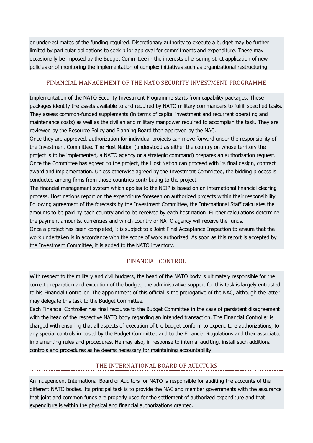or under-estimates of the funding required. Discretionary authority to execute a budget may be further limited by particular obligations to seek prior approval for commitments and expenditure. These may occasionally be imposed by the Budget Committee in the interests of ensuring strict application of new policies or of monitoring the implementation of complex initiatives such as organizational restructuring.

#### <span id="page-7-0"></span>FINANCIAL MANAGEMENT OF THE NATO SECURITY INVESTMENT PROGRAMME

Implementation of the NATO Security Investment Programme starts from capability packages. These packages identify the assets available to and required by NATO military commanders to fulfill specified tasks. They assess common-funded supplements (in terms of capital investment and recurrent operating and maintenance costs) as well as the civilian and military manpower required to accomplish the task. They are reviewed by the Resource Policy and Planning Board then approved by the NAC.

Once they are approved, authorization for individual projects can move forward under the responsibility of the Investment Committee. The Host Nation (understood as either the country on whose territory the project is to be implemented, a NATO agency or a strategic command) prepares an authorization request. Once the Committee has agreed to the project, the Host Nation can proceed with its final design, contract award and implementation. Unless otherwise agreed by the Investment Committee, the bidding process is conducted among firms from those countries contributing to the project.

The financial management system which applies to the NSIP is based on an international financial clearing process. Host nations report on the expenditure foreseen on authorized projects within their responsibility. Following agreement of the forecasts by the Investment Committee, the International Staff calculates the amounts to be paid by each country and to be received by each host nation. Further calculations determine the payment amounts, currencies and which country or NATO agency will receive the funds.

<span id="page-7-1"></span>Once a project has been completed, it is subject to a Joint Final Acceptance Inspection to ensure that the work undertaken is in accordance with the scope of work authorized. As soon as this report is accepted by the Investment Committee, it is added to the NATO inventory.

# FINANCIAL CONTROL

With respect to the military and civil budgets, the head of the NATO body is ultimately responsible for the correct preparation and execution of the budget, the administrative support for this task is largely entrusted to his Financial Controller. The appointment of this official is the prerogative of the NAC, although the latter may delegate this task to the Budget Committee.

Each Financial Controller has final recourse to the Budget Committee in the case of persistent disagreement with the head of the respective NATO body regarding an intended transaction. The Financial Controller is charged with ensuring that all aspects of execution of the budget conform to expenditure authorizations, to any special controls imposed by the Budget Committee and to the Financial Regulations and their associated implementing rules and procedures. He may also, in response to internal auditing, install such additional controls and procedures as he deems necessary for maintaining accountability.

# THE INTERNATIONAL BOARD OF AUDITORS

<span id="page-7-2"></span>An independent International Board of Auditors for NATO is responsible for auditing the accounts of the different NATO bodies. Its principal task is to provide the NAC and member governments with the assurance that joint and common funds are properly used for the settlement of authorized expenditure and that expenditure is within the physical and financial authorizations granted.